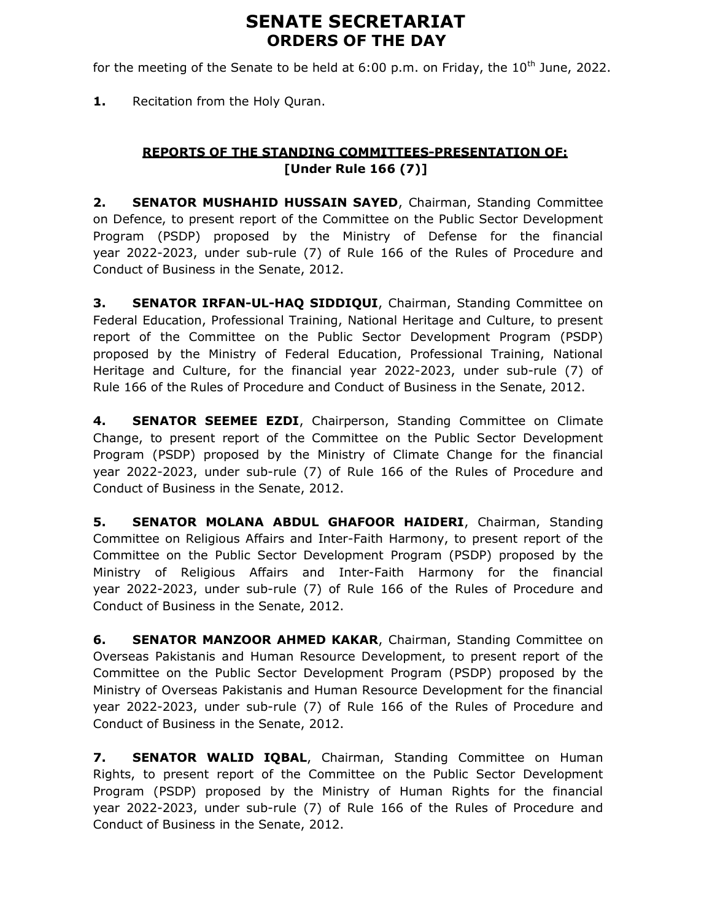# SENATE SECRETARIAT ORDERS OF THE DAY

for the meeting of the Senate to be held at 6:00 p.m. on Friday, the  $10<sup>th</sup>$  June, 2022.

1. Recitation from the Holy Quran.

## REPORTS OF THE STANDING COMMITTEES-PRESENTATION OF: [Under Rule 166 (7)]

2. SENATOR MUSHAHID HUSSAIN SAYED, Chairman, Standing Committee on Defence, to present report of the Committee on the Public Sector Development Program (PSDP) proposed by the Ministry of Defense for the financial year 2022-2023, under sub-rule (7) of Rule 166 of the Rules of Procedure and Conduct of Business in the Senate, 2012.

**3. SENATOR IRFAN-UL-HAQ SIDDIQUI, Chairman, Standing Committee on** Federal Education, Professional Training, National Heritage and Culture, to present report of the Committee on the Public Sector Development Program (PSDP) proposed by the Ministry of Federal Education, Professional Training, National Heritage and Culture, for the financial year 2022-2023, under sub-rule (7) of Rule 166 of the Rules of Procedure and Conduct of Business in the Senate, 2012.

4. SENATOR SEEMEE EZDI, Chairperson, Standing Committee on Climate Change, to present report of the Committee on the Public Sector Development Program (PSDP) proposed by the Ministry of Climate Change for the financial year 2022-2023, under sub-rule (7) of Rule 166 of the Rules of Procedure and Conduct of Business in the Senate, 2012.

5. SENATOR MOLANA ABDUL GHAFOOR HAIDERI, Chairman, Standing Committee on Religious Affairs and Inter-Faith Harmony, to present report of the Committee on the Public Sector Development Program (PSDP) proposed by the Ministry of Religious Affairs and Inter-Faith Harmony for the financial year 2022-2023, under sub-rule (7) of Rule 166 of the Rules of Procedure and Conduct of Business in the Senate, 2012.

**6. SENATOR MANZOOR AHMED KAKAR, Chairman, Standing Committee on** Overseas Pakistanis and Human Resource Development, to present report of the Committee on the Public Sector Development Program (PSDP) proposed by the Ministry of Overseas Pakistanis and Human Resource Development for the financial year 2022-2023, under sub-rule (7) of Rule 166 of the Rules of Procedure and Conduct of Business in the Senate, 2012.

7. SENATOR WALID IQBAL, Chairman, Standing Committee on Human Rights, to present report of the Committee on the Public Sector Development Program (PSDP) proposed by the Ministry of Human Rights for the financial year 2022-2023, under sub-rule (7) of Rule 166 of the Rules of Procedure and Conduct of Business in the Senate, 2012.